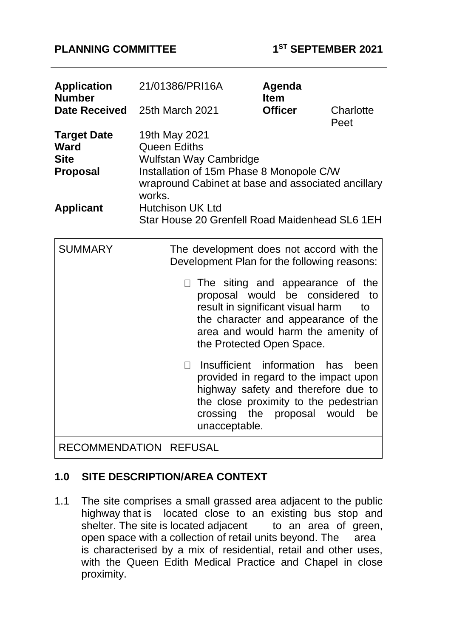### **PLANNING COMMITTEE 1**

| <b>Application</b><br><b>Number</b><br><b>Date Received</b>                             |                                                                                                                                                                                                               | 21/01386/PRI16A<br>25th March 2021                                                                                                        | Agenda<br><b>Item</b><br><b>Officer</b>                                                                                                                                     | Charlotte           |
|-----------------------------------------------------------------------------------------|---------------------------------------------------------------------------------------------------------------------------------------------------------------------------------------------------------------|-------------------------------------------------------------------------------------------------------------------------------------------|-----------------------------------------------------------------------------------------------------------------------------------------------------------------------------|---------------------|
| <b>Target Date</b><br><b>Ward</b><br><b>Site</b><br><b>Proposal</b><br><b>Applicant</b> | Peet<br>19th May 2021<br><b>Queen Ediths</b><br>Wulfstan Way Cambridge<br>Installation of 15m Phase 8 Monopole C/W<br>wrapround Cabinet at base and associated ancillary<br>works.<br><b>Hutchison UK Ltd</b> |                                                                                                                                           |                                                                                                                                                                             |                     |
| <b>SUMMARY</b>                                                                          |                                                                                                                                                                                                               | Star House 20 Grenfell Road Maidenhead SL6 1EH<br>The development does not accord with the<br>Development Plan for the following reasons: |                                                                                                                                                                             |                     |
|                                                                                         |                                                                                                                                                                                                               | $\Box$ The siting and appearance of the                                                                                                   | proposal would be considered<br>result in significant visual harm<br>the character and appearance of the<br>area and would harm the amenity of<br>the Protected Open Space. | to<br>to            |
|                                                                                         |                                                                                                                                                                                                               | $\Box$<br>crossing the<br>unacceptable.                                                                                                   | Insufficient information has<br>provided in regard to the impact upon<br>highway safety and therefore due to<br>the close proximity to the pedestrian<br>proposal           | been<br>would<br>be |
| <b>RECOMMENDATION   REFUSAL</b>                                                         |                                                                                                                                                                                                               |                                                                                                                                           |                                                                                                                                                                             |                     |

## **1.0 SITE DESCRIPTION/AREA CONTEXT**

1.1 The site comprises a small grassed area adjacent to the public highway that is located close to an existing bus stop and shelter. The site is located adjacent to an area of green, open space with a collection of retail units beyond. The area is characterised by a mix of residential, retail and other uses, with the Queen Edith Medical Practice and Chapel in close proximity.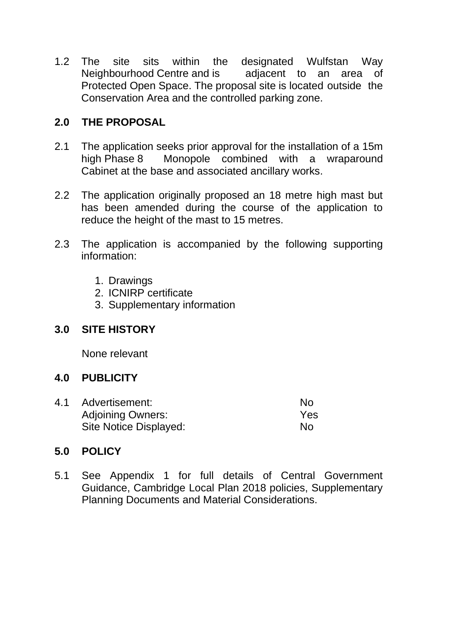1.2 The site sits within the designated Wulfstan Way Neighbourhood Centre and is adjacent to an area of Protected Open Space. The proposal site is located outside the Conservation Area and the controlled parking zone.

## **2.0 THE PROPOSAL**

- 2.1 The application seeks prior approval for the installation of a 15m high Phase 8 Monopole combined with a wraparound Cabinet at the base and associated ancillary works.
- 2.2 The application originally proposed an 18 metre high mast but has been amended during the course of the application to reduce the height of the mast to 15 metres.
- 2.3 The application is accompanied by the following supporting information:
	- 1. Drawings
	- 2. ICNIRP certificate
	- 3. Supplementary information

### **3.0 SITE HISTORY**

None relevant

#### **4.0 PUBLICITY**

4.1 Advertisement: No Adjoining Owners: Yes Site Notice Displayed: No

#### **5.0 POLICY**

5.1 See Appendix 1 for full details of Central Government Guidance, Cambridge Local Plan 2018 policies, Supplementary Planning Documents and Material Considerations.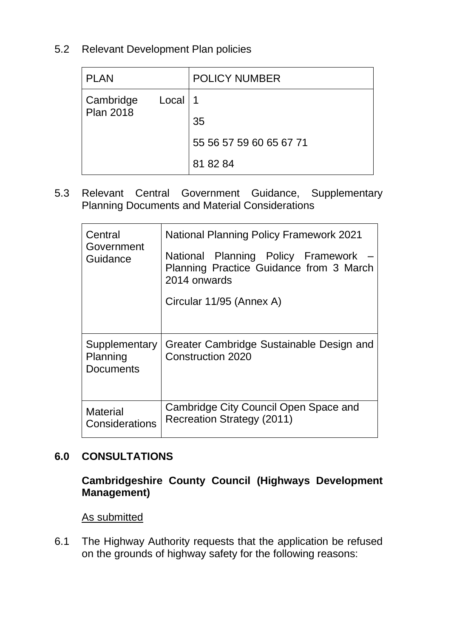## 5.2 Relevant Development Plan policies

| <b>PLAN</b>                   |           | <b>POLICY NUMBER</b>    |
|-------------------------------|-----------|-------------------------|
| Cambridge<br><b>Plan 2018</b> | Local   1 |                         |
|                               |           | 35                      |
|                               |           | 55 56 57 59 60 65 67 71 |
|                               |           | 81 82 84                |

5.3 Relevant Central Government Guidance, Supplementary Planning Documents and Material Considerations

| Central<br>Government<br>Guidance             | <b>National Planning Policy Framework 2021</b><br>National Planning Policy Framework<br>Planning Practice Guidance from 3 March<br>2014 onwards<br>Circular 11/95 (Annex A) |
|-----------------------------------------------|-----------------------------------------------------------------------------------------------------------------------------------------------------------------------------|
| Supplementary<br>Planning<br><b>Documents</b> | Greater Cambridge Sustainable Design and<br>Construction 2020                                                                                                               |
| <b>Material</b><br>Considerations             | Cambridge City Council Open Space and<br>Recreation Strategy (2011)                                                                                                         |

## **6.0 CONSULTATIONS**

### **Cambridgeshire County Council (Highways Development Management)**

As submitted

6.1 The Highway Authority requests that the application be refused on the grounds of highway safety for the following reasons: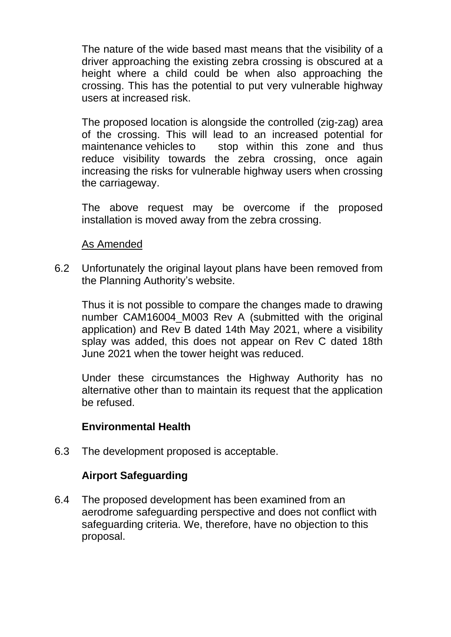The nature of the wide based mast means that the visibility of a driver approaching the existing zebra crossing is obscured at a height where a child could be when also approaching the crossing. This has the potential to put very vulnerable highway users at increased risk.

The proposed location is alongside the controlled (zig-zag) area of the crossing. This will lead to an increased potential for maintenance vehicles to stop within this zone and thus reduce visibility towards the zebra crossing, once again increasing the risks for vulnerable highway users when crossing the carriageway.

The above request may be overcome if the proposed installation is moved away from the zebra crossing.

#### As Amended

6.2 Unfortunately the original layout plans have been removed from the Planning Authority's website.

Thus it is not possible to compare the changes made to drawing number CAM16004 M003 Rev A (submitted with the original application) and Rev B dated 14th May 2021, where a visibility splay was added, this does not appear on Rev C dated 18th June 2021 when the tower height was reduced.

Under these circumstances the Highway Authority has no alternative other than to maintain its request that the application be refused.

### **Environmental Health**

6.3 The development proposed is acceptable.

### **Airport Safeguarding**

6.4 The proposed development has been examined from an aerodrome safeguarding perspective and does not conflict with safeguarding criteria. We, therefore, have no objection to this proposal.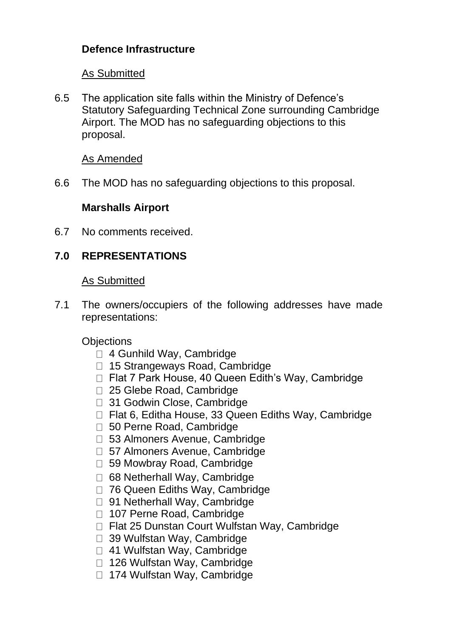# **Defence Infrastructure**

### As Submitted

6.5 The application site falls within the Ministry of Defence's Statutory Safeguarding Technical Zone surrounding Cambridge Airport. The MOD has no safeguarding objections to this proposal.

#### As Amended

6.6 The MOD has no safeguarding objections to this proposal.

### **Marshalls Airport**

6.7 No comments received.

## **7.0 REPRESENTATIONS**

#### As Submitted

7.1 The owners/occupiers of the following addresses have made representations:

### **Objections**

- □ 4 Gunhild Way, Cambridge
- □ 15 Strangeways Road, Cambridge
- □ Flat 7 Park House, 40 Queen Edith's Way, Cambridge
- □ 25 Glebe Road, Cambridge
- 31 Godwin Close, Cambridge
- $\Box$  Flat 6, Editha House, 33 Queen Ediths Way, Cambridge
- □ 50 Perne Road, Cambridge
- □ 53 Almoners Avenue, Cambridge
- □ 57 Almoners Avenue, Cambridge
- 59 Mowbray Road, Cambridge
- □ 68 Netherhall Way, Cambridge
- □ 76 Queen Ediths Way, Cambridge
- □ 91 Netherhall Way, Cambridge
- □ 107 Perne Road, Cambridge
- □ Flat 25 Dunstan Court Wulfstan Way, Cambridge
- □ 39 Wulfstan Wav, Cambridge
- □ 41 Wulfstan Wav, Cambridge
- □ 126 Wulfstan Way, Cambridge
- □ 174 Wulfstan Wav, Cambridge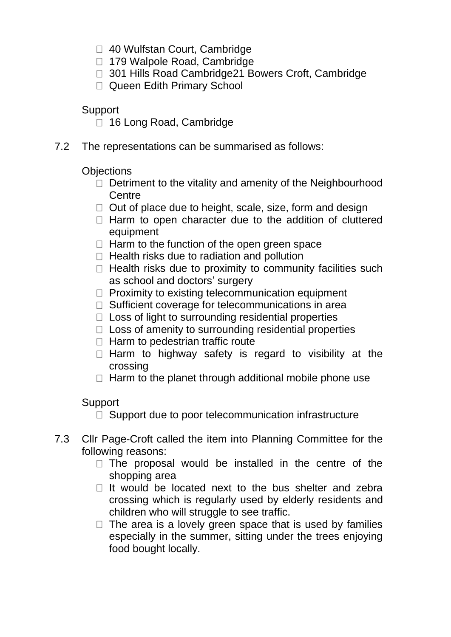- □ 40 Wulfstan Court, Cambridge
- 179 Walpole Road, Cambridge
- □ 301 Hills Road Cambridge21 Bowers Croft, Cambridge
- □ Queen Edith Primary School

**Support** 

- □ 16 Long Road, Cambridge
- 7.2 The representations can be summarised as follows:

**Objections** 

- $\Box$  Detriment to the vitality and amenity of the Neighbourhood **Centre**
- $\Box$  Out of place due to height, scale, size, form and design
- $\Box$  Harm to open character due to the addition of cluttered equipment
- $\Box$  Harm to the function of the open green space
- $\Box$  Health risks due to radiation and pollution
- $\Box$  Health risks due to proximity to community facilities such as school and doctors' surgery
- $\Box$  Proximity to existing telecommunication equipment
- $\Box$  Sufficient coverage for telecommunications in area
- $\Box$  Loss of light to surrounding residential properties
- $\Box$  Loss of amenity to surrounding residential properties
- $\Box$  Harm to pedestrian traffic route
- $\Box$  Harm to highway safety is regard to visibility at the crossing
- $\Box$  Harm to the planet through additional mobile phone use

Support

 $\Box$  Support due to poor telecommunication infrastructure

- 7.3 Cllr Page-Croft called the item into Planning Committee for the following reasons:
	- $\Box$  The proposal would be installed in the centre of the shopping area
	- $\Box$  It would be located next to the bus shelter and zebra crossing which is regularly used by elderly residents and children who will struggle to see traffic.
	- $\Box$  The area is a lovely green space that is used by families especially in the summer, sitting under the trees enjoying food bought locally.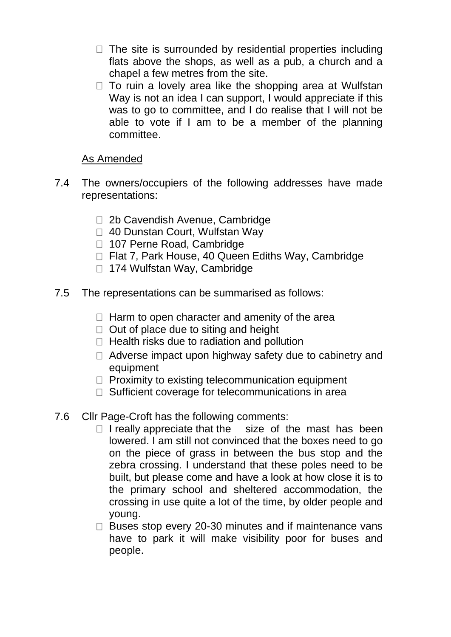- $\Box$  The site is surrounded by residential properties including flats above the shops, as well as a pub, a church and a chapel a few metres from the site.
- $\Box$  To ruin a lovely area like the shopping area at Wulfstan Way is not an idea I can support, I would appreciate if this was to go to committee, and I do realise that I will not be able to vote if I am to be a member of the planning committee.

## As Amended

- 7.4 The owners/occupiers of the following addresses have made representations:
	- □ 2b Cavendish Avenue, Cambridge
	- □ 40 Dunstan Court, Wulfstan Way
	- □ 107 Perne Road, Cambridge
	- □ Flat 7, Park House, 40 Queen Ediths Way, Cambridge
	- □ 174 Wulfstan Way, Cambridge
- 7.5 The representations can be summarised as follows:
	- $\Box$  Harm to open character and amenity of the area
	- $\Box$  Out of place due to siting and height
	- $\Box$  Health risks due to radiation and pollution
	- $\Box$  Adverse impact upon highway safety due to cabinetry and equipment
	- $\Box$  Proximity to existing telecommunication equipment
	- $\Box$  Sufficient coverage for telecommunications in area
- 7.6 Cllr Page-Croft has the following comments:
	- $\Box$  I really appreciate that the size of the mast has been lowered. I am still not convinced that the boxes need to go on the piece of grass in between the bus stop and the zebra crossing. I understand that these poles need to be built, but please come and have a look at how close it is to the primary school and sheltered accommodation, the crossing in use quite a lot of the time, by older people and young.
	- $\Box$  Buses stop every 20-30 minutes and if maintenance vans have to park it will make visibility poor for buses and people.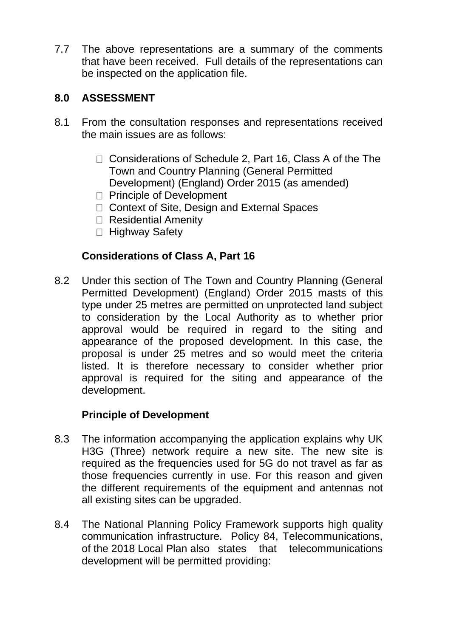7.7 The above representations are a summary of the comments that have been received. Full details of the representations can be inspected on the application file.

## **8.0 ASSESSMENT**

- 8.1 From the consultation responses and representations received the main issues are as follows:
	- □ Considerations of Schedule 2, Part 16, Class A of the The Town and Country Planning (General Permitted Development) (England) Order 2015 (as amended)
	- □ Principle of Development
	- □ Context of Site, Design and External Spaces
	- □ Residential Amenity
	- □ Highway Safety

### **Considerations of Class A, Part 16**

8.2 Under this section of The Town and Country Planning (General Permitted Development) (England) Order 2015 masts of this type under 25 metres are permitted on unprotected land subject to consideration by the Local Authority as to whether prior approval would be required in regard to the siting and appearance of the proposed development. In this case, the proposal is under 25 metres and so would meet the criteria listed. It is therefore necessary to consider whether prior approval is required for the siting and appearance of the development.

### **Principle of Development**

- 8.3 The information accompanying the application explains why UK H3G (Three) network require a new site. The new site is required as the frequencies used for 5G do not travel as far as those frequencies currently in use. For this reason and given the different requirements of the equipment and antennas not all existing sites can be upgraded.
- 8.4 The National Planning Policy Framework supports high quality communication infrastructure. Policy 84, Telecommunications, of the 2018 Local Plan also states that telecommunications development will be permitted providing: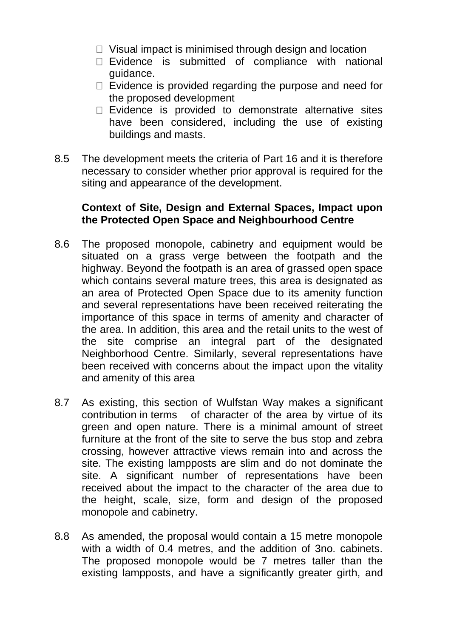- $\Box$  Visual impact is minimised through design and location
- $\Box$  Evidence is submitted of compliance with national guidance.
- $\Box$  Evidence is provided regarding the purpose and need for the proposed development
- $\Box$  Evidence is provided to demonstrate alternative sites have been considered, including the use of existing buildings and masts.
- 8.5 The development meets the criteria of Part 16 and it is therefore necessary to consider whether prior approval is required for the siting and appearance of the development.

### **Context of Site, Design and External Spaces, Impact upon the Protected Open Space and Neighbourhood Centre**

- 8.6 The proposed monopole, cabinetry and equipment would be situated on a grass verge between the footpath and the highway. Beyond the footpath is an area of grassed open space which contains several mature trees, this area is designated as an area of Protected Open Space due to its amenity function and several representations have been received reiterating the importance of this space in terms of amenity and character of the area. In addition, this area and the retail units to the west of the site comprise an integral part of the designated Neighborhood Centre. Similarly, several representations have been received with concerns about the impact upon the vitality and amenity of this area
- 8.7 As existing, this section of Wulfstan Way makes a significant contribution in terms of character of the area by virtue of its green and open nature. There is a minimal amount of street furniture at the front of the site to serve the bus stop and zebra crossing, however attractive views remain into and across the site. The existing lampposts are slim and do not dominate the site. A significant number of representations have been received about the impact to the character of the area due to the height, scale, size, form and design of the proposed monopole and cabinetry.
- 8.8 As amended, the proposal would contain a 15 metre monopole with a width of 0.4 metres, and the addition of 3no. cabinets. The proposed monopole would be 7 metres taller than the existing lampposts, and have a significantly greater girth, and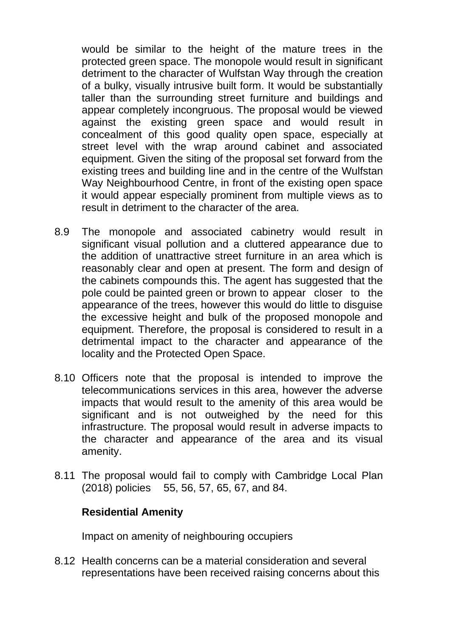would be similar to the height of the mature trees in the protected green space. The monopole would result in significant detriment to the character of Wulfstan Way through the creation of a bulky, visually intrusive built form. It would be substantially taller than the surrounding street furniture and buildings and appear completely incongruous. The proposal would be viewed against the existing green space and would result in concealment of this good quality open space, especially at street level with the wrap around cabinet and associated equipment. Given the siting of the proposal set forward from the existing trees and building line and in the centre of the Wulfstan Way Neighbourhood Centre, in front of the existing open space it would appear especially prominent from multiple views as to result in detriment to the character of the area.

- 8.9 The monopole and associated cabinetry would result in significant visual pollution and a cluttered appearance due to the addition of unattractive street furniture in an area which is reasonably clear and open at present. The form and design of the cabinets compounds this. The agent has suggested that the pole could be painted green or brown to appear closer to the appearance of the trees, however this would do little to disguise the excessive height and bulk of the proposed monopole and equipment. Therefore, the proposal is considered to result in a detrimental impact to the character and appearance of the locality and the Protected Open Space.
- 8.10 Officers note that the proposal is intended to improve the telecommunications services in this area, however the adverse impacts that would result to the amenity of this area would be significant and is not outweighed by the need for this infrastructure. The proposal would result in adverse impacts to the character and appearance of the area and its visual amenity.
- 8.11 The proposal would fail to comply with Cambridge Local Plan (2018) policies 55, 56, 57, 65, 67, and 84.

#### **Residential Amenity**

Impact on amenity of neighbouring occupiers

8.12 Health concerns can be a material consideration and several representations have been received raising concerns about this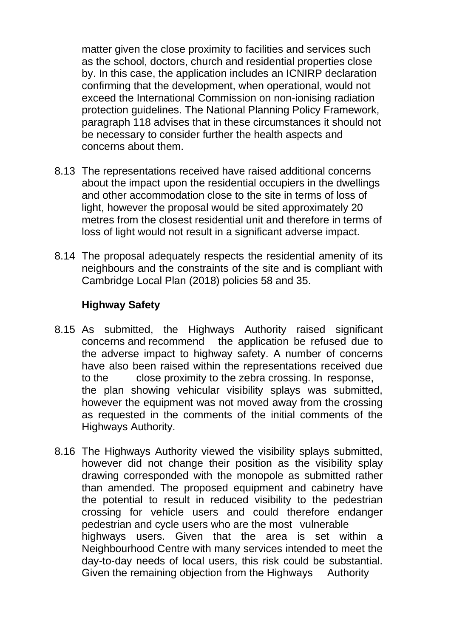matter given the close proximity to facilities and services such as the school, doctors, church and residential properties close by. In this case, the application includes an ICNIRP declaration confirming that the development, when operational, would not exceed the International Commission on non-ionising radiation protection guidelines. The National Planning Policy Framework, paragraph 118 advises that in these circumstances it should not be necessary to consider further the health aspects and concerns about them.

- 8.13 The representations received have raised additional concerns about the impact upon the residential occupiers in the dwellings and other accommodation close to the site in terms of loss of light, however the proposal would be sited approximately 20 metres from the closest residential unit and therefore in terms of loss of light would not result in a significant adverse impact.
- 8.14 The proposal adequately respects the residential amenity of its neighbours and the constraints of the site and is compliant with Cambridge Local Plan (2018) policies 58 and 35.

## **Highway Safety**

- 8.15 As submitted, the Highways Authority raised significant concerns and recommend the application be refused due to the adverse impact to highway safety. A number of concerns have also been raised within the representations received due to the close proximity to the zebra crossing. In response, the plan showing vehicular visibility splays was submitted, however the equipment was not moved away from the crossing as requested in the comments of the initial comments of the Highways Authority.
- 8.16 The Highways Authority viewed the visibility splays submitted, however did not change their position as the visibility splay drawing corresponded with the monopole as submitted rather than amended. The proposed equipment and cabinetry have the potential to result in reduced visibility to the pedestrian crossing for vehicle users and could therefore endanger pedestrian and cycle users who are the most vulnerable highways users. Given that the area is set within a Neighbourhood Centre with many services intended to meet the day-to-day needs of local users, this risk could be substantial. Given the remaining objection from the Highways Authority